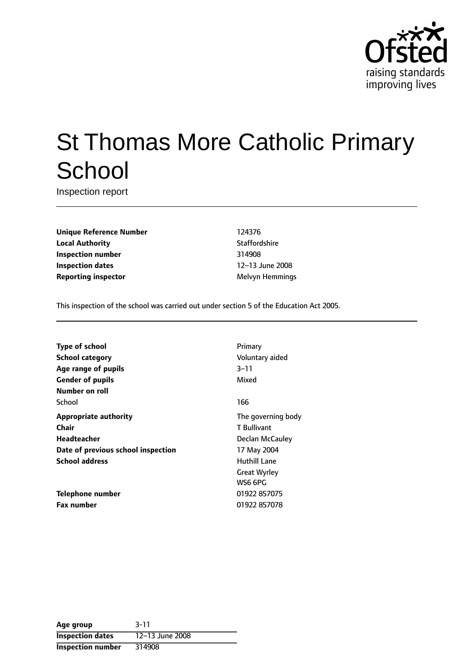

# St Thomas More Catholic Primary **School**

Inspection report

**Unique Reference Number** 124376 **Local Authority Contract Contract Contract Contract Contract Contract Contract Contract Contract Contract Contract Contract Contract Contract Contract Contract Contract Contract Contract Contract Contract Contract Contr Inspection number** 314908 **Inspection dates** 12-13 June 2008 **Reporting inspector** Melvyn Hemmings

This inspection of the school was carried out under section 5 of the Education Act 2005.

| <b>Type of school</b>              | Primary             |
|------------------------------------|---------------------|
| <b>School category</b>             | Voluntary aided     |
| Age range of pupils                | $3 - 11$            |
| <b>Gender of pupils</b>            | Mixed               |
| Number on roll                     |                     |
| School                             | 166                 |
| <b>Appropriate authority</b>       | The governing body  |
| Chair                              | T Bullivant         |
| Headteacher                        | Declan McCauley     |
| Date of previous school inspection | 17 May 2004         |
| <b>School address</b>              | <b>Huthill Lane</b> |
|                                    | <b>Great Wyrley</b> |
|                                    | WS6 6PG             |
| Telephone number                   | 01922 857075        |
| <b>Fax number</b>                  | 01922 857078        |

| Age group               | $3 - 11$        |
|-------------------------|-----------------|
| <b>Inspection dates</b> | 12-13 June 2008 |
| Inspection number       | 314908          |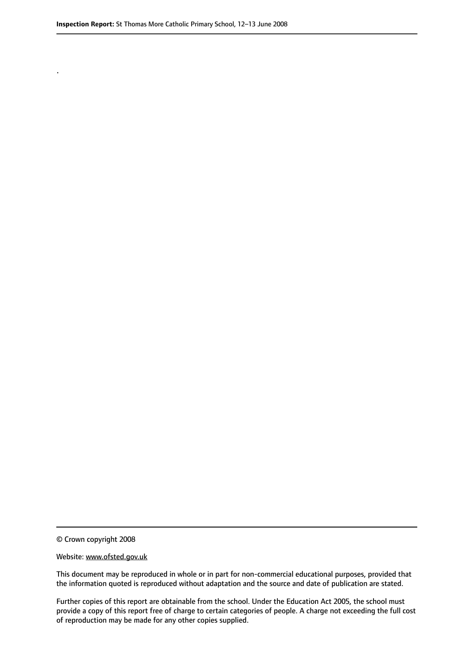.

© Crown copyright 2008

#### Website: www.ofsted.gov.uk

This document may be reproduced in whole or in part for non-commercial educational purposes, provided that the information quoted is reproduced without adaptation and the source and date of publication are stated.

Further copies of this report are obtainable from the school. Under the Education Act 2005, the school must provide a copy of this report free of charge to certain categories of people. A charge not exceeding the full cost of reproduction may be made for any other copies supplied.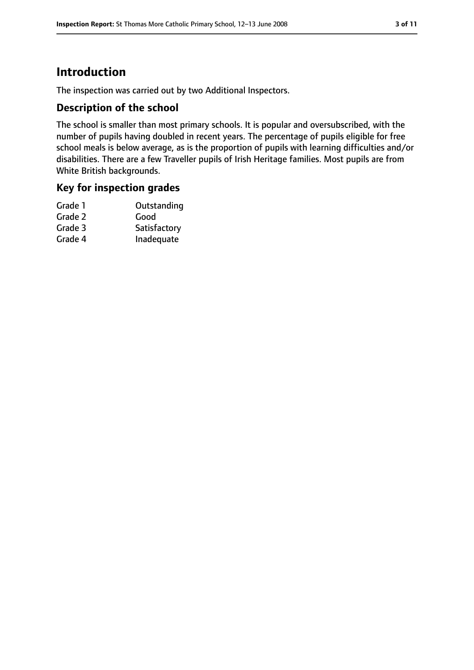# **Introduction**

The inspection was carried out by two Additional Inspectors.

## **Description of the school**

The school is smaller than most primary schools. It is popular and oversubscribed, with the number of pupils having doubled in recent years. The percentage of pupils eligible for free school meals is below average, as is the proportion of pupils with learning difficulties and/or disabilities. There are a few Traveller pupils of Irish Heritage families. Most pupils are from White British backgrounds.

## **Key for inspection grades**

| Grade 1 | Outstanding  |
|---------|--------------|
| Grade 2 | Good         |
| Grade 3 | Satisfactory |
| Grade 4 | Inadequate   |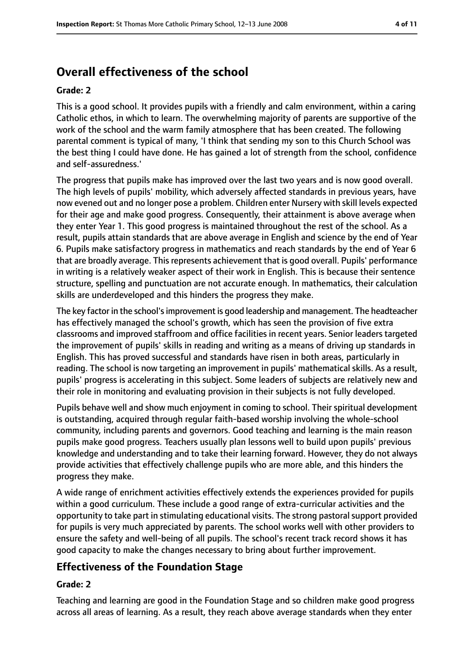# **Overall effectiveness of the school**

#### **Grade: 2**

This is a good school. It provides pupils with a friendly and calm environment, within a caring Catholic ethos, in which to learn. The overwhelming majority of parents are supportive of the work of the school and the warm family atmosphere that has been created. The following parental comment is typical of many, 'I think that sending my son to this Church School was the best thing I could have done. He has gained a lot of strength from the school, confidence and self-assuredness.'

The progress that pupils make has improved over the last two years and is now good overall. The high levels of pupils' mobility, which adversely affected standards in previous years, have now evened out and no longer pose a problem. Children enter Nursery with skill levels expected for their age and make good progress. Consequently, their attainment is above average when they enter Year 1. This good progress is maintained throughout the rest of the school. As a result, pupils attain standards that are above average in English and science by the end of Year 6. Pupils make satisfactory progress in mathematics and reach standards by the end of Year 6 that are broadly average. This represents achievement that is good overall. Pupils' performance in writing is a relatively weaker aspect of their work in English. This is because their sentence structure, spelling and punctuation are not accurate enough. In mathematics, their calculation skills are underdeveloped and this hinders the progress they make.

The key factor in the school'simprovement is good leadership and management. The headteacher has effectively managed the school's growth, which has seen the provision of five extra classrooms and improved staffroom and office facilities in recent years. Senior leaders targeted the improvement of pupils' skills in reading and writing as a means of driving up standards in English. This has proved successful and standards have risen in both areas, particularly in reading. The school is now targeting an improvement in pupils' mathematical skills. As a result, pupils' progress is accelerating in this subject. Some leaders of subjects are relatively new and their role in monitoring and evaluating provision in their subjects is not fully developed.

Pupils behave well and show much enjoyment in coming to school. Their spiritual development is outstanding, acquired through regular faith-based worship involving the whole-school community, including parents and governors. Good teaching and learning is the main reason pupils make good progress. Teachers usually plan lessons well to build upon pupils' previous knowledge and understanding and to take their learning forward. However, they do not always provide activities that effectively challenge pupils who are more able, and this hinders the progress they make.

A wide range of enrichment activities effectively extends the experiences provided for pupils within a good curriculum. These include a good range of extra-curricular activities and the opportunity to take part in stimulating educational visits. The strong pastoral support provided for pupils is very much appreciated by parents. The school works well with other providers to ensure the safety and well-being of all pupils. The school's recent track record shows it has good capacity to make the changes necessary to bring about further improvement.

## **Effectiveness of the Foundation Stage**

#### **Grade: 2**

Teaching and learning are good in the Foundation Stage and so children make good progress across all areas of learning. As a result, they reach above average standards when they enter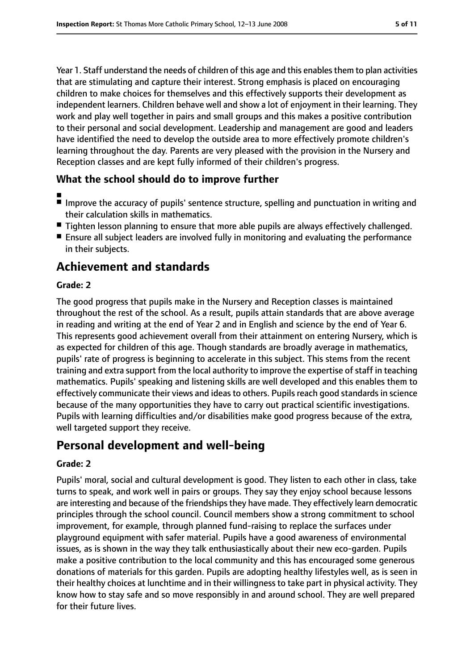Year 1. Staff understand the needs of children of this age and this enables them to plan activities that are stimulating and capture their interest. Strong emphasis is placed on encouraging children to make choices for themselves and this effectively supports their development as independent learners. Children behave well and show a lot of enjoyment in their learning. They work and play well together in pairs and small groups and this makes a positive contribution to their personal and social development. Leadership and management are good and leaders have identified the need to develop the outside area to more effectively promote children's learning throughout the day. Parents are very pleased with the provision in the Nursery and Reception classes and are kept fully informed of their children's progress.

## **What the school should do to improve further**

- ■
- Improve the accuracy of pupils' sentence structure, spelling and punctuation in writing and their calculation skills in mathematics.
- Tighten lesson planning to ensure that more able pupils are always effectively challenged.
- Ensure all subject leaders are involved fully in monitoring and evaluating the performance in their subjects.

# **Achievement and standards**

#### **Grade: 2**

The good progress that pupils make in the Nursery and Reception classes is maintained throughout the rest of the school. As a result, pupils attain standards that are above average in reading and writing at the end of Year 2 and in English and science by the end of Year 6. This represents good achievement overall from their attainment on entering Nursery, which is as expected for children of this age. Though standards are broadly average in mathematics, pupils' rate of progress is beginning to accelerate in this subject. This stems from the recent training and extra support from the local authority to improve the expertise of staff in teaching mathematics. Pupils' speaking and listening skills are well developed and this enables them to effectively communicate their views and ideas to others. Pupils reach good standards in science because of the many opportunities they have to carry out practical scientific investigations. Pupils with learning difficulties and/or disabilities make good progress because of the extra, well targeted support they receive.

# **Personal development and well-being**

#### **Grade: 2**

Pupils' moral, social and cultural development is good. They listen to each other in class, take turns to speak, and work well in pairs or groups. They say they enjoy school because lessons are interesting and because of the friendships they have made. They effectively learn democratic principles through the school council. Council members show a strong commitment to school improvement, for example, through planned fund-raising to replace the surfaces under playground equipment with safer material. Pupils have a good awareness of environmental issues, as is shown in the way they talk enthusiastically about their new eco-garden. Pupils make a positive contribution to the local community and this has encouraged some generous donations of materials for this garden. Pupils are adopting healthy lifestyles well, as is seen in their healthy choices at lunchtime and in their willingness to take part in physical activity. They know how to stay safe and so move responsibly in and around school. They are well prepared for their future lives.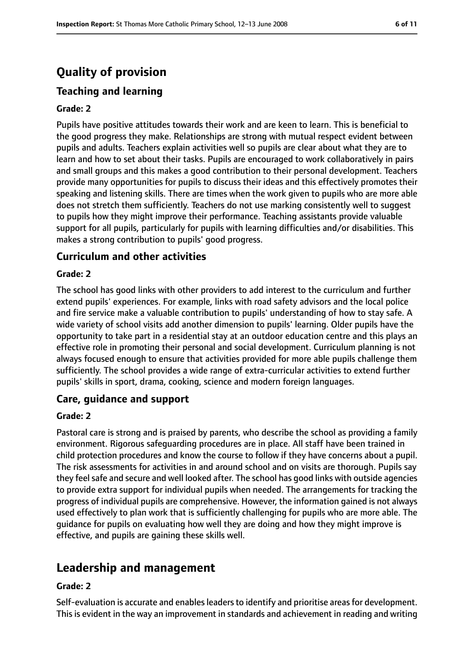# **Quality of provision**

## **Teaching and learning**

#### **Grade: 2**

Pupils have positive attitudes towards their work and are keen to learn. This is beneficial to the good progress they make. Relationships are strong with mutual respect evident between pupils and adults. Teachers explain activities well so pupils are clear about what they are to learn and how to set about their tasks. Pupils are encouraged to work collaboratively in pairs and small groups and this makes a good contribution to their personal development. Teachers provide many opportunities for pupils to discuss their ideas and this effectively promotes their speaking and listening skills. There are times when the work given to pupils who are more able does not stretch them sufficiently. Teachers do not use marking consistently well to suggest to pupils how they might improve their performance. Teaching assistants provide valuable support for all pupils, particularly for pupils with learning difficulties and/or disabilities. This makes a strong contribution to pupils' good progress.

#### **Curriculum and other activities**

#### **Grade: 2**

The school has good links with other providers to add interest to the curriculum and further extend pupils' experiences. For example, links with road safety advisors and the local police and fire service make a valuable contribution to pupils' understanding of how to stay safe. A wide variety of school visits add another dimension to pupils' learning. Older pupils have the opportunity to take part in a residential stay at an outdoor education centre and this plays an effective role in promoting their personal and social development. Curriculum planning is not always focused enough to ensure that activities provided for more able pupils challenge them sufficiently. The school provides a wide range of extra-curricular activities to extend further pupils' skills in sport, drama, cooking, science and modern foreign languages.

#### **Care, guidance and support**

#### **Grade: 2**

Pastoral care is strong and is praised by parents, who describe the school as providing a family environment. Rigorous safeguarding procedures are in place. All staff have been trained in child protection procedures and know the course to follow if they have concerns about a pupil. The risk assessments for activities in and around school and on visits are thorough. Pupils say they feel safe and secure and well looked after. The school has good links with outside agencies to provide extra support for individual pupils when needed. The arrangements for tracking the progress of individual pupils are comprehensive. However, the information gained is not always used effectively to plan work that is sufficiently challenging for pupils who are more able. The guidance for pupils on evaluating how well they are doing and how they might improve is effective, and pupils are gaining these skills well.

# **Leadership and management**

#### **Grade: 2**

Self-evaluation is accurate and enables leaders to identify and prioritise areas for development. This is evident in the way an improvement in standards and achievement in reading and writing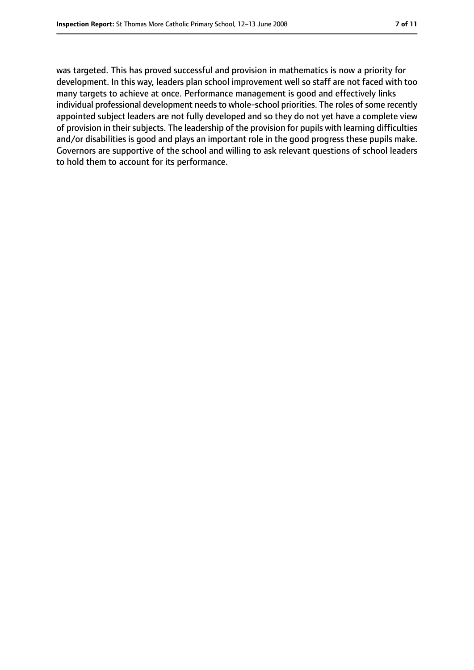was targeted. This has proved successful and provision in mathematics is now a priority for development. In this way, leaders plan school improvement well so staff are not faced with too many targets to achieve at once. Performance management is good and effectively links individual professional development needs to whole-school priorities. The roles of some recently appointed subject leaders are not fully developed and so they do not yet have a complete view of provision in their subjects. The leadership of the provision for pupils with learning difficulties and/or disabilities is good and plays an important role in the good progress these pupils make. Governors are supportive of the school and willing to ask relevant questions of school leaders to hold them to account for its performance.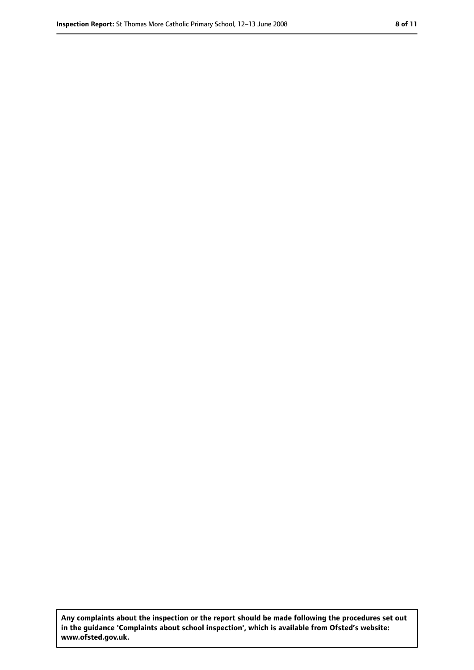**Any complaints about the inspection or the report should be made following the procedures set out in the guidance 'Complaints about school inspection', which is available from Ofsted's website: www.ofsted.gov.uk.**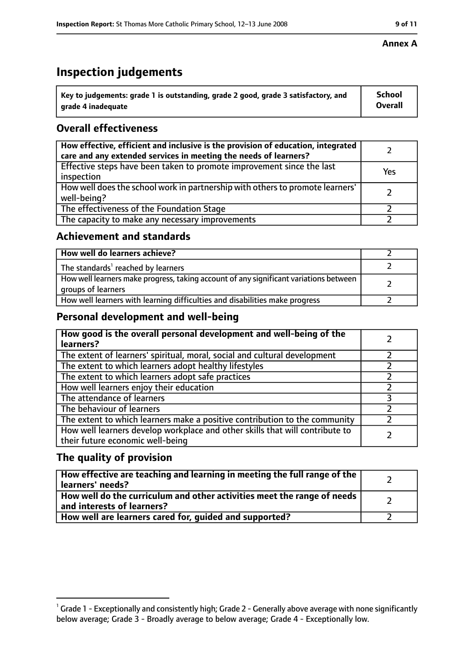# **Inspection judgements**

| $^{\backprime}$ Key to judgements: grade 1 is outstanding, grade 2 good, grade 3 satisfactory, and | <b>School</b>  |
|----------------------------------------------------------------------------------------------------|----------------|
| arade 4 inadeguate                                                                                 | <b>Overall</b> |

## **Overall effectiveness**

| How effective, efficient and inclusive is the provision of education, integrated<br>care and any extended services in meeting the needs of learners? |     |
|------------------------------------------------------------------------------------------------------------------------------------------------------|-----|
| Effective steps have been taken to promote improvement since the last<br>inspection                                                                  | Yes |
| How well does the school work in partnership with others to promote learners'<br>well-being?                                                         |     |
| The effectiveness of the Foundation Stage                                                                                                            |     |
| The capacity to make any necessary improvements                                                                                                      |     |

## **Achievement and standards**

| How well do learners achieve?                                                                               |  |
|-------------------------------------------------------------------------------------------------------------|--|
| The standards <sup>1</sup> reached by learners                                                              |  |
| How well learners make progress, taking account of any significant variations between<br>groups of learners |  |
| How well learners with learning difficulties and disabilities make progress                                 |  |

## **Personal development and well-being**

| How good is the overall personal development and well-being of the<br>learners?                                  |  |
|------------------------------------------------------------------------------------------------------------------|--|
| The extent of learners' spiritual, moral, social and cultural development                                        |  |
| The extent to which learners adopt healthy lifestyles                                                            |  |
| The extent to which learners adopt safe practices                                                                |  |
| How well learners enjoy their education                                                                          |  |
| The attendance of learners                                                                                       |  |
| The behaviour of learners                                                                                        |  |
| The extent to which learners make a positive contribution to the community                                       |  |
| How well learners develop workplace and other skills that will contribute to<br>their future economic well-being |  |

## **The quality of provision**

| How effective are teaching and learning in meeting the full range of the<br>learners' needs?          |  |
|-------------------------------------------------------------------------------------------------------|--|
| How well do the curriculum and other activities meet the range of needs<br>and interests of learners? |  |
| How well are learners cared for, guided and supported?                                                |  |

 $^1$  Grade 1 - Exceptionally and consistently high; Grade 2 - Generally above average with none significantly below average; Grade 3 - Broadly average to below average; Grade 4 - Exceptionally low.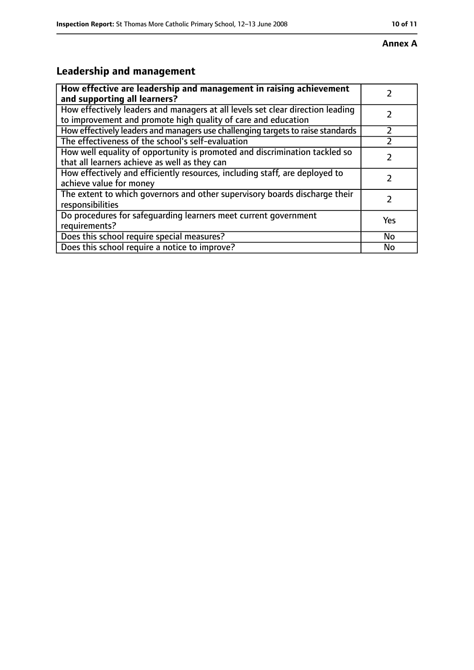#### **Annex A**

# **Leadership and management**

| How effective are leadership and management in raising achievement<br>and supporting all learners?                                              |     |
|-------------------------------------------------------------------------------------------------------------------------------------------------|-----|
| How effectively leaders and managers at all levels set clear direction leading<br>to improvement and promote high quality of care and education |     |
| How effectively leaders and managers use challenging targets to raise standards                                                                 |     |
| The effectiveness of the school's self-evaluation                                                                                               |     |
| How well equality of opportunity is promoted and discrimination tackled so<br>that all learners achieve as well as they can                     |     |
| How effectively and efficiently resources, including staff, are deployed to<br>achieve value for money                                          | フ   |
| The extent to which governors and other supervisory boards discharge their<br>responsibilities                                                  |     |
| Do procedures for safequarding learners meet current government<br>requirements?                                                                | Yes |
| Does this school require special measures?                                                                                                      | No  |
| Does this school require a notice to improve?                                                                                                   | No  |